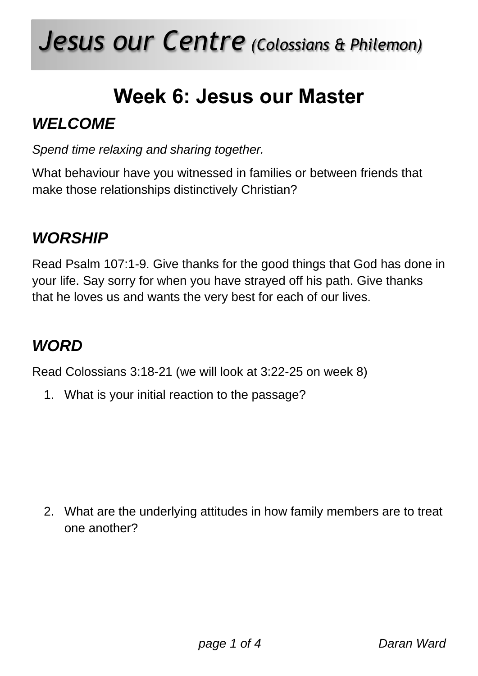# *Jesus our Centre (Colossians & Philemon)*

## **Week 6: Jesus our Master**

### *WELCOME*

*Spend time relaxing and sharing together.* 

What behaviour have you witnessed in families or between friends that make those relationships distinctively Christian?

### *WORSHIP*

Read Psalm 107:1-9. Give thanks for the good things that God has done in your life. Say sorry for when you have strayed off his path. Give thanks that he loves us and wants the very best for each of our lives.

#### *WORD*

Read Colossians 3:18-21 (we will look at 3:22-25 on week 8)

1. What is your initial reaction to the passage?

2. What are the underlying attitudes in how family members are to treat one another?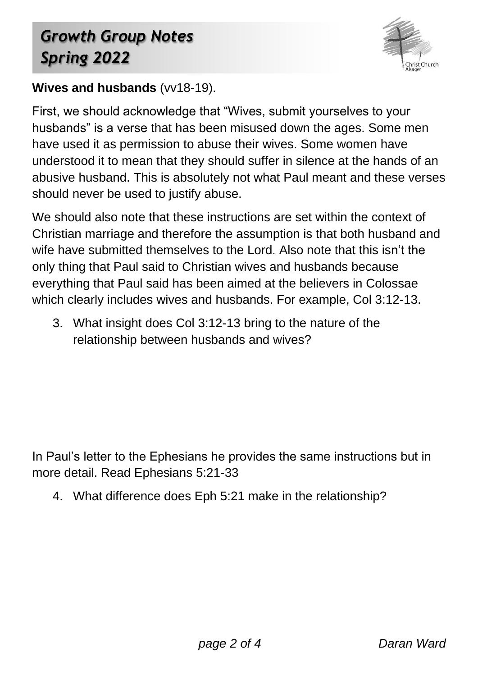## *Growth Group Notes Spring 2022*



#### **Wives and husbands** (vv18-19).

First, we should acknowledge that "Wives, submit yourselves to your husbands" is a verse that has been misused down the ages. Some men have used it as permission to abuse their wives. Some women have understood it to mean that they should suffer in silence at the hands of an abusive husband. This is absolutely not what Paul meant and these verses should never be used to justify abuse.

We should also note that these instructions are set within the context of Christian marriage and therefore the assumption is that both husband and wife have submitted themselves to the Lord. Also note that this isn't the only thing that Paul said to Christian wives and husbands because everything that Paul said has been aimed at the believers in Colossae which clearly includes wives and husbands. For example, Col 3:12-13.

3. What insight does Col 3:12-13 bring to the nature of the relationship between husbands and wives?

In Paul's letter to the Ephesians he provides the same instructions but in more detail. Read Ephesians 5:21-33

4. What difference does Eph 5:21 make in the relationship?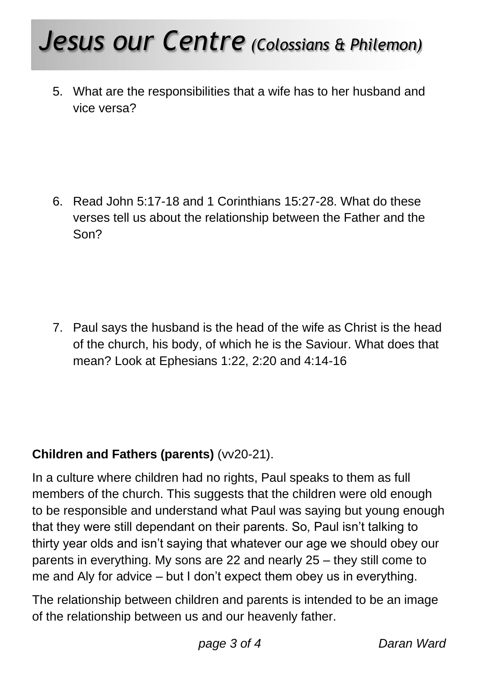# *Jesus our Centre (Colossians & Philemon)*

5. What are the responsibilities that a wife has to her husband and vice versa?

6. Read John 5:17-18 and 1 Corinthians 15:27-28. What do these verses tell us about the relationship between the Father and the Son?

7. Paul says the husband is the head of the wife as Christ is the head of the church, his body, of which he is the Saviour. What does that mean? Look at Ephesians 1:22, 2:20 and 4:14-16

#### **Children and Fathers (parents)** (vv20-21).

In a culture where children had no rights, Paul speaks to them as full members of the church. This suggests that the children were old enough to be responsible and understand what Paul was saying but young enough that they were still dependant on their parents. So, Paul isn't talking to thirty year olds and isn't saying that whatever our age we should obey our parents in everything. My sons are 22 and nearly 25 – they still come to me and Aly for advice – but I don't expect them obey us in everything.

The relationship between children and parents is intended to be an image of the relationship between us and our heavenly father.